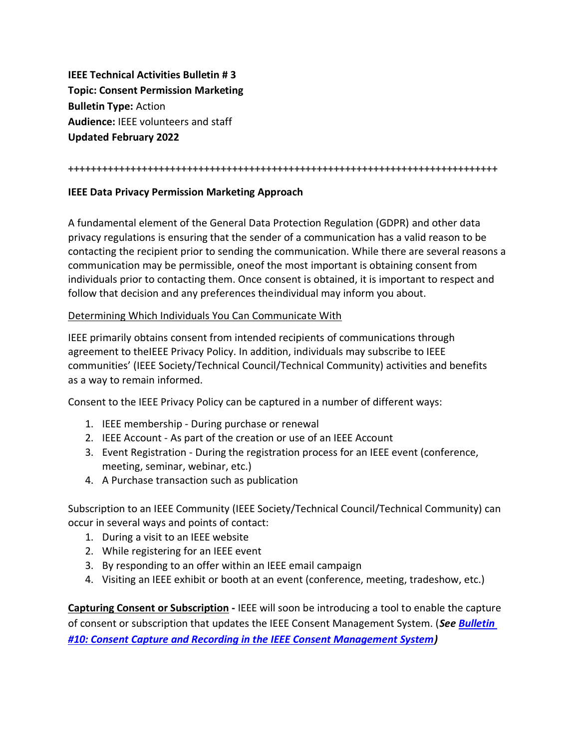**IEEE Technical Activities Bulletin # 3 Topic: Consent Permission Marketing Bulletin Type:** Action **Audience:** IEEE volunteers and staff **Updated February 2022**

#### **++++++++++++++++++++++++++++++++++++++++++++++++++++++++++++++++++++++++++++**

### **IEEE Data Privacy Permission Marketing Approach**

A fundamental element of the General Data Protection Regulation (GDPR) and other data privacy regulations is ensuring that the sender of a communication has a valid reason to be contacting the recipient prior to sending the communication. While there are several reasons a communication may be permissible, oneof the most important is obtaining consent from individuals prior to contacting them. Once consent is obtained, it is important to respect and follow that decision and any preferences theindividual may inform you about.

#### Determining Which Individuals You Can Communicate With

IEEE primarily obtains consent from intended recipients of communications through agreement to theIEEE Privacy Policy. In addition, individuals may subscribe to IEEE communities' (IEEE Society/Technical Council/Technical Community) activities and benefits as a way to remain informed.

Consent to the IEEE Privacy Policy can be captured in a number of different ways:

- 1. IEEE membership During purchase or renewal
- 2. IEEE Account As part of the creation or use of an IEEE Account
- 3. Event Registration During the registration process for an IEEE event (conference, meeting, seminar, webinar, etc.)
- 4. A Purchase transaction such as publication

Subscription to an IEEE Community (IEEE Society/Technical Council/Technical Community) can occur in several ways and points of contact:

- 1. During a visit to an IEEE website
- 2. While registering for an IEEE event
- 3. By responding to an offer within an IEEE email campaign
- 4. Visiting an IEEE exhibit or booth at an event (conference, meeting, tradeshow, etc.)

**Capturing Consent or Subscription -** IEEE will soon be introducing a tool to enable the capture of consent or subscription that updates the IEEE Consent Management System. (*Se[e Bulletin](https://ta.ieee.org/operations/technical-activities-data-privacy-resource-page/bulletin-10-consent-capture-and-recording-in-the-ieee-consent-management-system) [#10: Consent Capture and Recording in the IEEE Consent Management System\)](https://ta.ieee.org/operations/technical-activities-data-privacy-resource-page/bulletin-10-consent-capture-and-recording-in-the-ieee-consent-management-system)*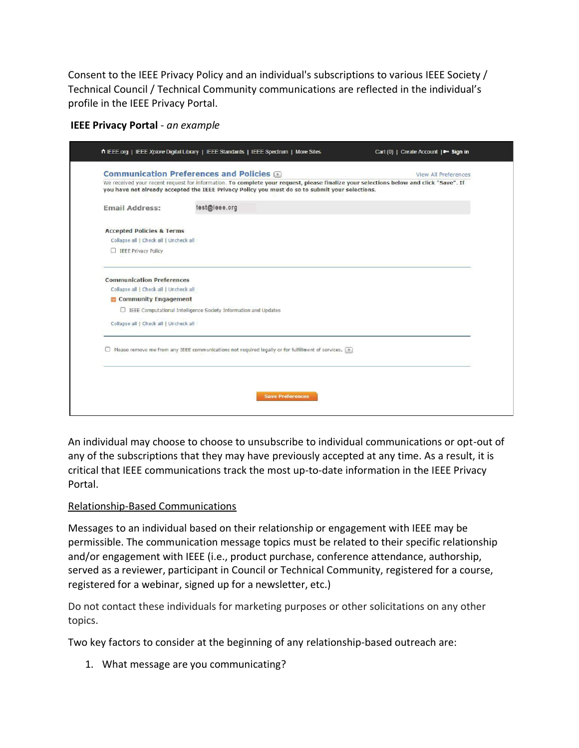Consent to the IEEE Privacy Policy and an individual's subscriptions to various IEEE Society / Technical Council / Technical Community communications are reflected in the individual's profile in the IEEE Privacy Portal.

**IEEE Privacy Portal** *- an example*

|                                        | We received your recent request for information. To complete your request, please finalize your selections below and click "Save". If<br>you have not already accepted the IEEE Privacy Policy you must do so to submit your selections. |  |  |  |  |
|----------------------------------------|------------------------------------------------------------------------------------------------------------------------------------------------------------------------------------------------------------------------------------------|--|--|--|--|
| <b>Email Address:</b>                  | test@ieee.org                                                                                                                                                                                                                            |  |  |  |  |
| <b>Accepted Policies &amp; Terms</b>   |                                                                                                                                                                                                                                          |  |  |  |  |
| Collapse all   Check all   Uncheck all |                                                                                                                                                                                                                                          |  |  |  |  |
| <b>EEE</b> Privacy Policy              |                                                                                                                                                                                                                                          |  |  |  |  |
| <b>Communication Preferences</b>       |                                                                                                                                                                                                                                          |  |  |  |  |
| Collapse all   Check all   Uncheck all |                                                                                                                                                                                                                                          |  |  |  |  |
| Community Engagement                   |                                                                                                                                                                                                                                          |  |  |  |  |
|                                        | □ IEEE Computational Intelligence Society Information and Updates                                                                                                                                                                        |  |  |  |  |
| Collapse all   Check all   Uncheck all |                                                                                                                                                                                                                                          |  |  |  |  |
|                                        | Please remove me from any IEEE communications not required legally or for fulfillment of services. $\boxed{?}$                                                                                                                           |  |  |  |  |
|                                        |                                                                                                                                                                                                                                          |  |  |  |  |

An individual may choose to choose to unsubscribe to individual communications or opt-out of any of the subscriptions that they may have previously accepted at any time. As a result, it is critical that IEEE communications track the most up-to-date information in the IEEE Privacy Portal.

## Relationship-Based Communications

Messages to an individual based on their relationship or engagement with IEEE may be permissible. The communication message topics must be related to their specific relationship and/or engagement with IEEE (i.e., product purchase, conference attendance, authorship, served as a reviewer, participant in Council or Technical Community, registered for a course, registered for a webinar, signed up for a newsletter, etc.)

Do not contact these individuals for marketing purposes or other solicitations on any other topics.

Two key factors to consider at the beginning of any relationship-based outreach are:

1. What message are you communicating?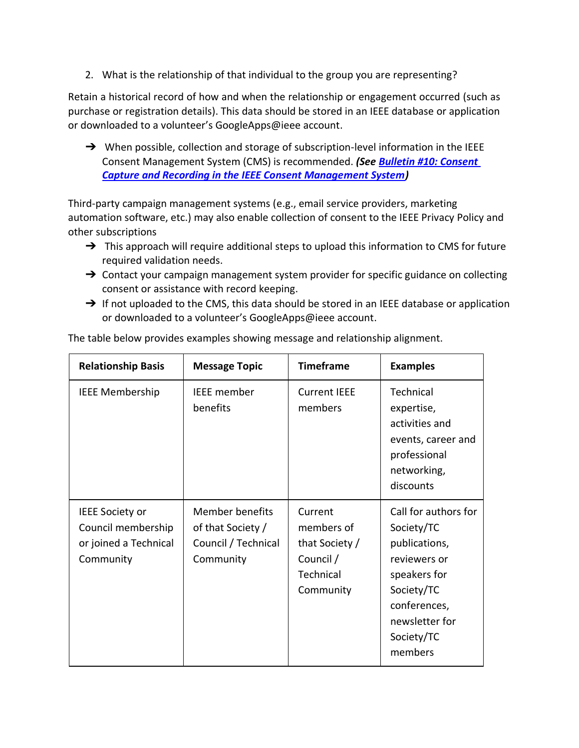2. What is the relationship of that individual to the group you are representing?

Retain a historical record of how and when the relationship or engagement occurred (such as purchase or registration details). This data should be stored in an IEEE database or application or downloaded to a volunteer's GoogleApps@ieee account.

 $\rightarrow$  When possible, collection and storage of subscription-level information in the IEEE Consent Management System (CMS) is recommended. *(See Bulletin [#10: Consent](https://ta.ieee.org/operations/technical-activities-data-privacy-resource-page/bulletin-10-consent-capture-and-recording-in-the-ieee-consent-management-system)  [Capture and Recording in the IEEE Consent Management System\)](https://ta.ieee.org/operations/technical-activities-data-privacy-resource-page/bulletin-10-consent-capture-and-recording-in-the-ieee-consent-management-system)*

Third-party campaign management systems (e.g., email service providers, marketing automation software, etc.) may also enable collection of consent to the IEEE Privacy Policy and other subscriptions

- $\rightarrow$  This approach will require additional steps to upload this information to CMS for future required validation needs.
- → Contact your campaign management system provider for specific guidance on collecting consent or assistance with record keeping.
- → If not uploaded to the CMS, this data should be stored in an IEEE database or application or downloaded to a volunteer's GoogleApps@ieee account.

| <b>Relationship Basis</b>                                                          | <b>Message Topic</b>                                                     | <b>Timeframe</b>                                                                      | <b>Examples</b>                                                                                                                                              |
|------------------------------------------------------------------------------------|--------------------------------------------------------------------------|---------------------------------------------------------------------------------------|--------------------------------------------------------------------------------------------------------------------------------------------------------------|
| <b>IEEE Membership</b>                                                             | <b>IEEE</b> member<br>benefits                                           | <b>Current IEEE</b><br>members                                                        | Technical<br>expertise,<br>activities and<br>events, career and<br>professional<br>networking,<br>discounts                                                  |
| <b>IEEE Society or</b><br>Council membership<br>or joined a Technical<br>Community | Member benefits<br>of that Society /<br>Council / Technical<br>Community | Current<br>members of<br>that Society /<br>Council /<br><b>Technical</b><br>Community | Call for authors for<br>Society/TC<br>publications,<br>reviewers or<br>speakers for<br>Society/TC<br>conferences,<br>newsletter for<br>Society/TC<br>members |

The table below provides examples showing message and relationship alignment.